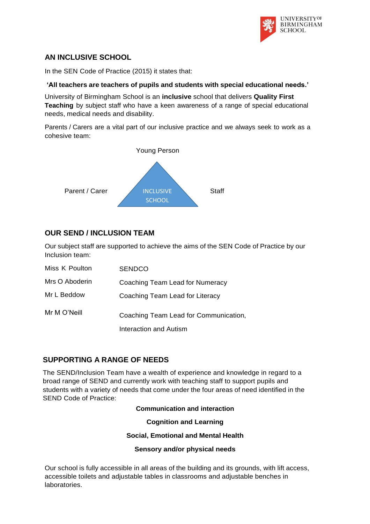

# **AN INCLUSIVE SCHOOL**

In the SEN Code of Practice (2015) it states that:

### **'All teachers are teachers of pupils and students with special educational needs.'**

University of Birmingham School is an **inclusive** school that delivers **Quality First Teaching** by subject staff who have a keen awareness of a range of special educational needs, medical needs and disability.

Parents / Carers are a vital part of our inclusive practice and we always seek to work as a cohesive team:



# **OUR SEND / INCLUSION TEAM**

Our subject staff are supported to achieve the aims of the SEN Code of Practice by our Inclusion team:

| Miss K Poulton | <b>SENDCO</b>                         |
|----------------|---------------------------------------|
| Mrs O Aboderin | Coaching Team Lead for Numeracy       |
| Mr L Beddow    | Coaching Team Lead for Literacy       |
| Mr M O'Neill   | Coaching Team Lead for Communication, |
|                | Interaction and Autism                |

### **SUPPORTING A RANGE OF NEEDS**

The SEND/Inclusion Team have a wealth of experience and knowledge in regard to a broad range of SEND and currently work with teaching staff to support pupils and students with a variety of needs that come under the four areas of need identified in the SEND Code of Practice:

### **Communication and interaction**

**Cognition and Learning**

**Social, Emotional and Mental Health**

**Sensory and/or physical needs**

Our school is fully accessible in all areas of the building and its grounds, with lift access, accessible toilets and adjustable tables in classrooms and adjustable benches in laboratories.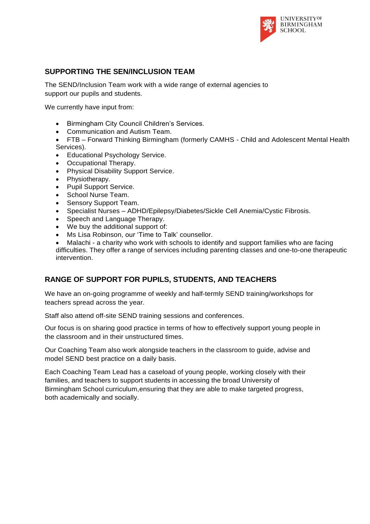

# **SUPPORTING THE SEN/INCLUSION TEAM**

The SEND/Inclusion Team work with a wide range of external agencies to support our pupils and students.

We currently have input from:

- Birmingham City Council Children's Services.
- Communication and Autism Team.
- FTB Forward Thinking Birmingham (formerly CAMHS Child and Adolescent Mental Health Services).
- Educational Psychology Service.
- Occupational Therapy.
- Physical Disability Support Service.
- Physiotherapy.
- Pupil Support Service.
- School Nurse Team.
- Sensory Support Team.
- Specialist Nurses ADHD/Epilepsy/Diabetes/Sickle Cell Anemia/Cystic Fibrosis.
- Speech and Language Therapy.
- We buy the additional support of:
- Ms Lisa Robinson, our 'Time to Talk' counsellor.
- Malachi a charity who work with schools to identify and support families who are facing difficulties. They offer a range of services including parenting classes and one-to-one therapeutic intervention.

# **RANGE OF SUPPORT FOR PUPILS, STUDENTS, AND TEACHERS**

We have an on-going programme of weekly and half-termly SEND training/workshops for teachers spread across the year.

Staff also attend off-site SEND training sessions and conferences.

Our focus is on sharing good practice in terms of how to effectively support young people in the classroom and in their unstructured times.

Our Coaching Team also work alongside teachers in the classroom to guide, advise and model SEND best practice on a daily basis.

Each Coaching Team Lead has a caseload of young people, working closely with their families, and teachers to support students in accessing the broad University of Birmingham School curriculum,ensuring that they are able to make targeted progress, both academically and socially.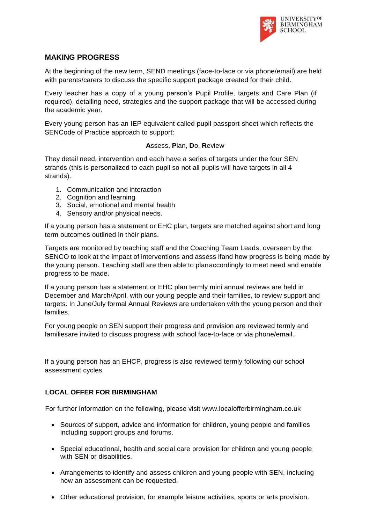

## **MAKING PROGRESS**

At the beginning of the new term, SEND meetings (face-to-face or via phone/email) are held with parents/carers to discuss the specific support package created for their child.

Every teacher has a copy of a young person's Pupil Profile, targets and Care Plan (if required), detailing need, strategies and the support package that will be accessed during the academic year.

Every young person has an IEP equivalent called pupil passport sheet which reflects the SENCode of Practice approach to support:

#### **A**ssess, **P**lan, **D**o, **R**eview

They detail need, intervention and each have a series of targets under the four SEN strands (this is personalized to each pupil so not all pupils will have targets in all 4 strands).

- 1. Communication and interaction
- 2. Cognition and learning
- 3. Social, emotional and mental health
- 4. Sensory and/or physical needs.

If a young person has a statement or EHC plan, targets are matched against short and long term outcomes outlined in their plans.

Targets are monitored by teaching staff and the Coaching Team Leads, overseen by the SENCO to look at the impact of interventions and assess ifand how progress is being made by the young person. Teaching staff are then able to planaccordingly to meet need and enable progress to be made.

If a young person has a statement or EHC plan termly mini annual reviews are held in December and March/April, with our young people and their families, to review support and targets. In June/July formal Annual Reviews are undertaken with the young person and their families.

For young people on SEN support their progress and provision are reviewed termly and familiesare invited to discuss progress with school face-to-face or via phone/email.

If a young person has an EHCP, progress is also reviewed termly following our school assessment cycles.

### **LOCAL OFFER FOR BIRMINGHAM**

For further information on the following, please visit [www.localofferbirmingham.co.uk](http://www.localofferbirmingham.co.uk/)

- Sources of support, advice and information for children, young people and families including support groups and forums.
- Special educational, health and social care provision for children and young people with SEN or disabilities.
- Arrangements to identify and assess children and young people with SEN, including how an assessment can be requested.
- Other educational provision, for example leisure activities, sports or arts provision.